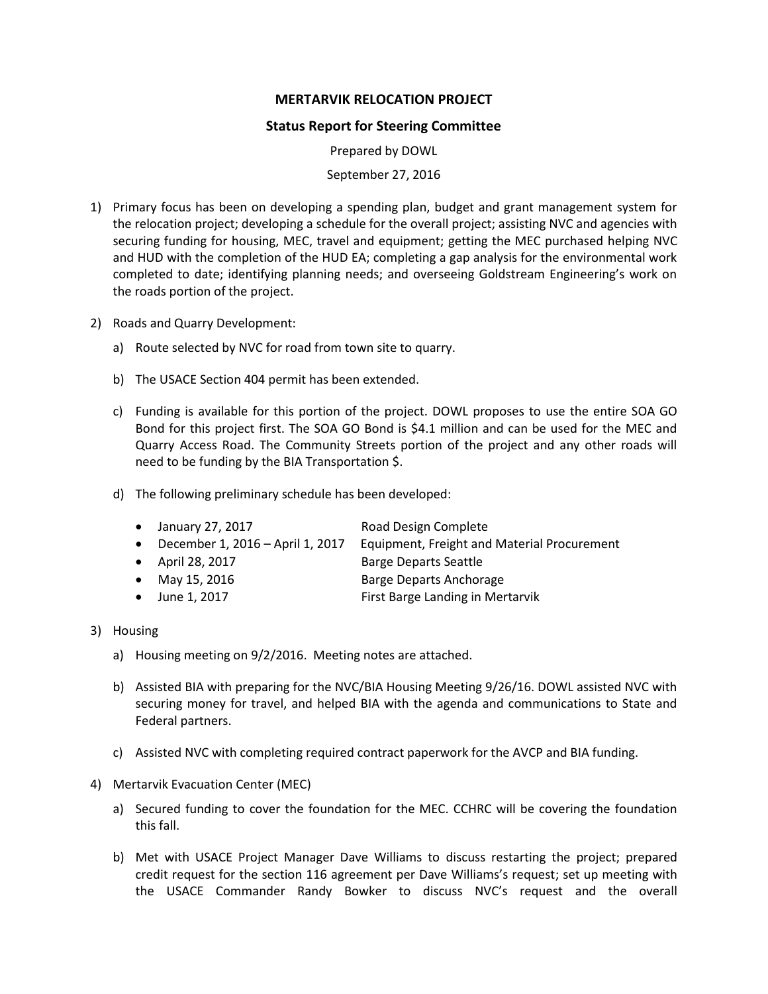## **MERTARVIK RELOCATION PROJECT**

## **Status Report for Steering Committee**

Prepared by DOWL

## September 27, 2016

- 1) Primary focus has been on developing a spending plan, budget and grant management system for the relocation project; developing a schedule for the overall project; assisting NVC and agencies with securing funding for housing, MEC, travel and equipment; getting the MEC purchased helping NVC and HUD with the completion of the HUD EA; completing a gap analysis for the environmental work completed to date; identifying planning needs; and overseeing Goldstream Engineering's work on the roads portion of the project.
- 2) Roads and Quarry Development:
	- a) Route selected by NVC for road from town site to quarry.
	- b) The USACE Section 404 permit has been extended.
	- c) Funding is available for this portion of the project. DOWL proposes to use the entire SOA GO Bond for this project first. The SOA GO Bond is \$4.1 million and can be used for the MEC and Quarry Access Road. The Community Streets portion of the project and any other roads will need to be funding by the BIA Transportation \$.
	- d) The following preliminary schedule has been developed:

| $\bullet$ January 27, 2017         | Road Design Complete                        |
|------------------------------------|---------------------------------------------|
| • December 1, 2016 – April 1, 2017 | Equipment, Freight and Material Procurement |
| • April 28, 2017                   | <b>Barge Departs Seattle</b>                |
| • May 15, 2016                     | Barge Departs Anchorage                     |

- June 1, 2017 **First Barge Landing in Mertarvik**
- 3) Housing
	- a) Housing meeting on 9/2/2016. Meeting notes are attached.
	- b) Assisted BIA with preparing for the NVC/BIA Housing Meeting 9/26/16. DOWL assisted NVC with securing money for travel, and helped BIA with the agenda and communications to State and Federal partners.
	- c) Assisted NVC with completing required contract paperwork for the AVCP and BIA funding.
- 4) Mertarvik Evacuation Center (MEC)
	- a) Secured funding to cover the foundation for the MEC. CCHRC will be covering the foundation this fall.
	- b) Met with USACE Project Manager Dave Williams to discuss restarting the project; prepared credit request for the section 116 agreement per Dave Williams's request; set up meeting with the USACE Commander Randy Bowker to discuss NVC's request and the overall